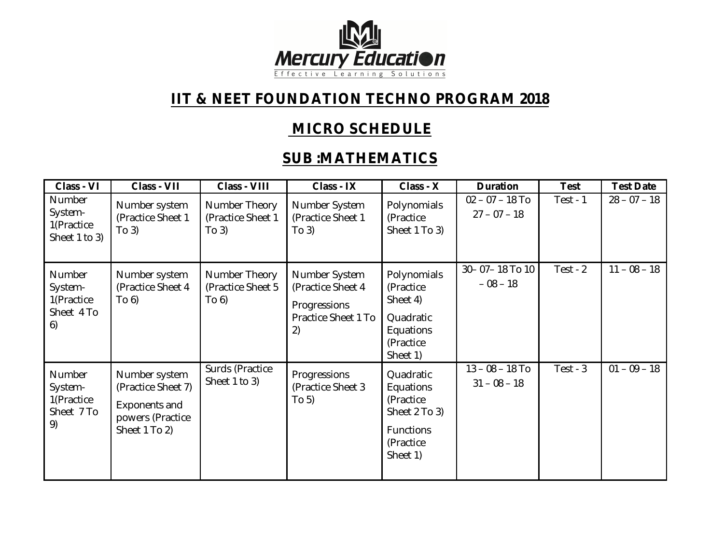

## **IIT & NEET FOUNDATION TECHNO PROGRAM 2018**

## **MICRO SCHEDULE**

## **SUB :MATHEMATICS**

| Class - VI                                          | Class - VII                                                                               | Class - VIII                                | Class - IX                                                                      | Class - X                                                                                         | <b>Duration</b>                     | <b>Test</b> | <b>Test Date</b> |
|-----------------------------------------------------|-------------------------------------------------------------------------------------------|---------------------------------------------|---------------------------------------------------------------------------------|---------------------------------------------------------------------------------------------------|-------------------------------------|-------------|------------------|
| Number<br>System-<br>1(Practice<br>Sheet 1 to 3)    | Number system<br>(Practice Sheet 1<br>To 3)                                               | Number Theory<br>(Practice Sheet 1<br>To 3) | Number System<br>(Practice Sheet 1<br>To 3)                                     | Polynomials<br>(Practice<br>Sheet 1 To 3)                                                         | $02 - 07 - 18$ To<br>$27 - 07 - 18$ | Test - $1$  | $28 - 07 - 18$   |
| Number<br>System-<br>1(Practice<br>Sheet 4 To<br>6) | Number system<br>(Practice Sheet 4<br>To 6)                                               | Number Theory<br>(Practice Sheet 5<br>To 6) | Number System<br>(Practice Sheet 4<br>Progressions<br>Practice Sheet 1 To<br>2) | Polynomials<br>(Practice<br>Sheet 4)<br>Quadratic<br>Equations<br>(Practice<br>Sheet 1)           | 30-07-18 То 10<br>$-08 - 18$        | Test - $2$  | $11 - 08 - 18$   |
| Number<br>System-<br>1(Practice<br>Sheet 7 To<br>9) | Number system<br>(Practice Sheet 7)<br>Exponents and<br>powers (Practice<br>Sheet 1 To 2) | Surds (Practice<br>Sheet 1 to 3)            | Progressions<br>(Practice Sheet 3<br>To 5)                                      | Quadratic<br>Equations<br>(Practice<br>Sheet 2 To 3)<br><b>Functions</b><br>(Practice<br>Sheet 1) | $13 - 08 - 18$ To<br>$31 - 08 - 18$ | $Test - 3$  | $01 - 09 - 18$   |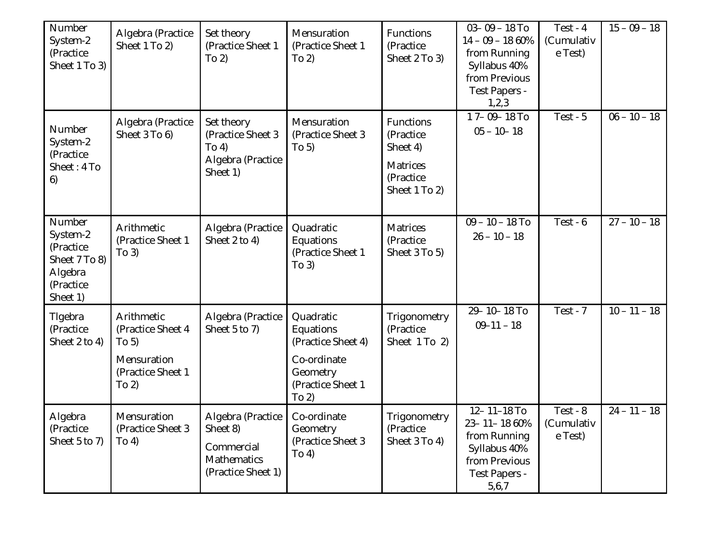| Number<br>System-2<br>(Practice<br>Sheet 1 To 3)                                     | Algebra (Practice<br>Sheet 1 To 2)                                                    | Set theory<br>(Practice Sheet 1<br>To 2)                                         | Mensuration<br>(Practice Sheet 1<br>To 2)                                                             | Functions<br>(Practice<br>Sheet 2 To 3)                                             | $03 - 09 - 18$ To<br>$14 - 09 - 1860\%$<br>from Running<br>Syllabus 40%<br>from Previous<br>Test Papers -<br>1,2,3 | $Test - 4$<br>(Cumulativ<br>e Test) | $15 - 09 - 18$ |
|--------------------------------------------------------------------------------------|---------------------------------------------------------------------------------------|----------------------------------------------------------------------------------|-------------------------------------------------------------------------------------------------------|-------------------------------------------------------------------------------------|--------------------------------------------------------------------------------------------------------------------|-------------------------------------|----------------|
| Number<br>System-2<br>(Practice<br>Sheet: 4 To<br>6)                                 | Algebra (Practice<br>Sheet 3 To 6)                                                    | Set theory<br>(Practice Sheet 3<br>To 4)<br>Algebra (Practice<br>Sheet 1)        | Mensuration<br>(Practice Sheet 3<br>To 5)                                                             | Functions<br>(Practice<br>Sheet 4)<br><b>Matrices</b><br>(Practice<br>Sheet 1 To 2) | 17-09-18 To<br>$05 - 10 - 18$                                                                                      | Test - $5$                          | $06 - 10 - 18$ |
| Number<br>System-2<br>(Practice<br>Sheet 7 To 8)<br>Algebra<br>(Practice<br>Sheet 1) | Arithmetic<br>(Practice Sheet 1<br>To 3)                                              | Algebra (Practice<br>Sheet 2 to 4)                                               | Quadratic<br>Equations<br>(Practice Sheet 1<br>To 3)                                                  | <b>Matrices</b><br>(Practice<br>Sheet 3 To 5)                                       | $09 - 10 - 18$ To<br>$26 - 10 - 18$                                                                                | Test - $6$                          | $27 - 10 - 18$ |
| Tigebra<br>(Practice<br>Sheet 2 to 4)                                                | Arithmetic<br>(Practice Sheet 4<br>To 5)<br>Mensuration<br>(Practice Sheet 1<br>To 2) | Algebra (Practice<br>Sheet 5 to 7)                                               | Quadratic<br>Equations<br>(Practice Sheet 4)<br>Co-ordinate<br>Geometry<br>(Practice Sheet 1<br>To 2) | Trigonometry<br>(Practice<br>Sheet 1 To 2)                                          | $29 - 10 - 18$ To<br>$09 - 11 - 18$                                                                                | Test - $7$                          | $10 - 11 - 18$ |
| Algebra<br>(Practice<br>Sheet 5 to 7)                                                | Mensuration<br>(Practice Sheet 3<br>To 4)                                             | Algebra (Practice<br>Sheet 8)<br>Commercial<br>Mathematics<br>(Practice Sheet 1) | Co-ordinate<br>Geometry<br>(Practice Sheet 3<br>To 4)                                                 | Trigonometry<br>(Practice<br>Sheet 3 To 4)                                          | 12-11-18 To<br>23-11-18 60%<br>from Running<br>Syllabus 40%<br>from Previous<br>Test Papers -<br>5,6,7             | Test - $8$<br>(Cumulativ<br>e Test) | $24 - 11 - 18$ |